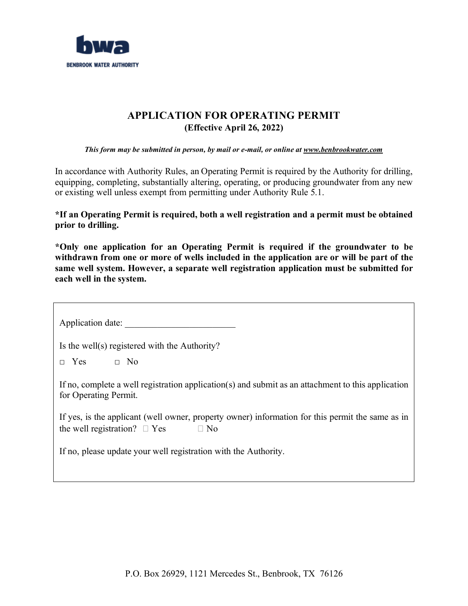

# **APPLICATION FOR OPERATING PERMIT (Effective April 26, 2022)**

*This form may be submitted in person, by mail or e-mail, or online at www.benbrookwater.com* 

In accordance with Authority Rules, an Operating Permit is required by the Authority for drilling, equipping, completing, substantially altering, operating, or producing groundwater from any new or existing well unless exempt from permitting under Authority Rule 5.1.

**\*If an Operating Permit is required, both a well registration and a permit must be obtained prior to drilling.**

**\*Only one application for an Operating Permit is required if the groundwater to be withdrawn from one or more of wells included in the application are or will be part of the same well system. However, a separate well registration application must be submitted for each well in the system.**

Application date:

Is the well(s) registered with the Authority?

 $\Box$  Yes  $\Box$  No

If no, complete a well registration application(s) and submit as an attachment to this application for Operating Permit.

If yes, is the applicant (well owner, property owner) information for this permit the same as in the well registration?  $\Box$  Yes  $\Box$  No

If no, please update your well registration with the Authority.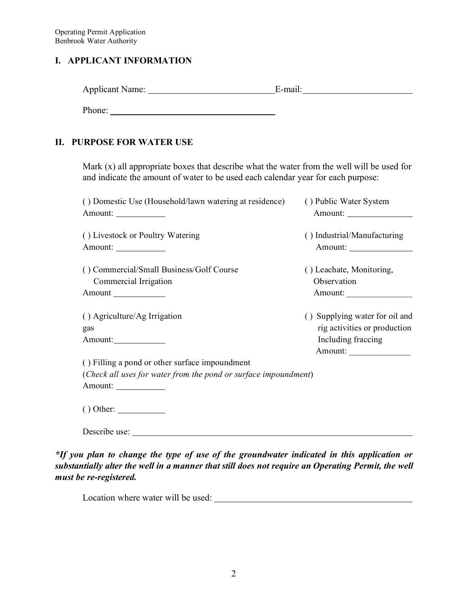### **I. APPLICANT INFORMATION**

| <b>Applicant Name:</b> | $E$ -ma $\ddot{i}$ |
|------------------------|--------------------|
|                        |                    |

Phone:

## **II. PURPOSE FOR WATER USE**

Mark (x) all appropriate boxes that describe what the water from the well will be used for and indicate the amount of water to be used each calendar year for each purpose:

| () Domestic Use (Household/lawn watering at residence)<br>Amount: _____________            | () Public Water System<br>Amount:                                                               |
|--------------------------------------------------------------------------------------------|-------------------------------------------------------------------------------------------------|
| () Livestock or Poultry Watering                                                           | () Industrial/Manufacturing<br>Amount:                                                          |
| () Commercial/Small Business/Golf Course<br>Commercial Irrigation<br>Amount ______________ | () Leachate, Monitoring,<br>Observation                                                         |
| () Agriculture/Ag Irrigation<br>gas<br>Amount:                                             | () Supplying water for oil and<br>rig activities or production<br>Including fraccing<br>Amount: |
| () Filling a pond or other surface impoundment                                             |                                                                                                 |
| (Check all uses for water from the pond or surface impoundment)<br>Amount:                 |                                                                                                 |
| $()$ Other: $\_\_\_\_\_\_\_\_\_\_\_\_\_\_\_$                                               |                                                                                                 |
| Describe use:                                                                              |                                                                                                 |

*\*If you plan to change the type of use of the groundwater indicated in this application or substantially alter the well in a manner that still does not require an Operating Permit, the well must be re-registered.*

Location where water will be used: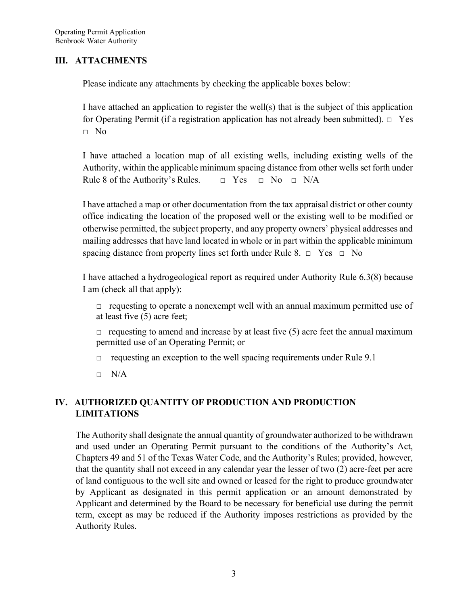## **III. ATTACHMENTS**

Please indicate any attachments by checking the applicable boxes below:

I have attached an application to register the well(s) that is the subject of this application for Operating Permit (if a registration application has not already been submitted).  $\Box$  Yes □ No

I have attached a location map of all existing wells, including existing wells of the Authority, within the applicable minimum spacing distance from other wells set forth under Rule 8 of the Authority's Rules.  $\Box$  Yes  $\Box$  No  $\Box$  N/A

I have attached a map or other documentation from the tax appraisal district or other county office indicating the location of the proposed well or the existing well to be modified or otherwise permitted, the subject property, and any property owners' physical addresses and mailing addresses that have land located in whole or in part within the applicable minimum spacing distance from property lines set forth under Rule 8.  $\Box$  Yes  $\Box$  No

I have attached a hydrogeological report as required under Authority Rule 6.3(8) because I am (check all that apply):

 $\Box$  requesting to operate a nonexempt well with an annual maximum permitted use of at least five (5) acre feet;

 $\Box$  requesting to amend and increase by at least five (5) acre feet the annual maximum permitted use of an Operating Permit; or

 $\Box$  requesting an exception to the well spacing requirements under Rule 9.1

 $\neg$  N/A

## **IV. AUTHORIZED QUANTITY OF PRODUCTION AND PRODUCTION LIMITATIONS**

The Authority shall designate the annual quantity of groundwater authorized to be withdrawn and used under an Operating Permit pursuant to the conditions of the Authority's Act, Chapters 49 and 51 of the Texas Water Code, and the Authority's Rules; provided, however, that the quantity shall not exceed in any calendar year the lesser of two (2) acre-feet per acre of land contiguous to the well site and owned or leased for the right to produce groundwater by Applicant as designated in this permit application or an amount demonstrated by Applicant and determined by the Board to be necessary for beneficial use during the permit term, except as may be reduced if the Authority imposes restrictions as provided by the Authority Rules.